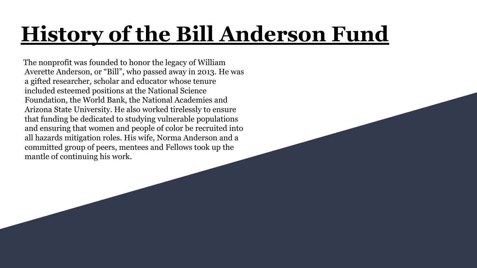# **History of the Bill Anderson Fund**

 The nonprofit was founded to honor the legacy of William Averette Anderson, or "Bill", who passed away in 2013. He was a gifted researcher, scholar and educator whose tenure included esteemed positions at the National Science Foundation, the World Bank, the National Academies and Arizona State University. He also worked tirelessly to ensure that funding be dedicated to studying vulnerable populations and ensuring that women and people of color be recruited into all hazards mitigation roles. His wife, Norma Anderson and a committed group of peers, mentees and Fellows took up the mantle of continuing his work.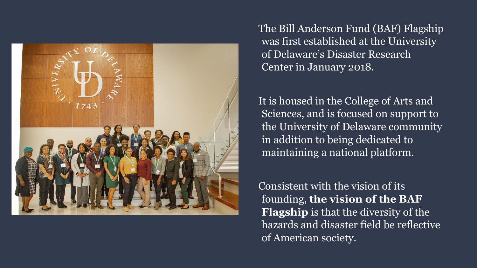

The Bill Anderson Fund (BAF) Flagship was first established at the University of Delaware's Disaster Research Center in January 2018.

It is housed in the College of Arts and Sciences, and is focused on support to the University of Delaware community in addition to being dedicated to maintaining a national platform.

Consistent with the vision of its founding, **the vision of the BAF Flagship** is that the diversity of the hazards and disaster field be reflective of American society.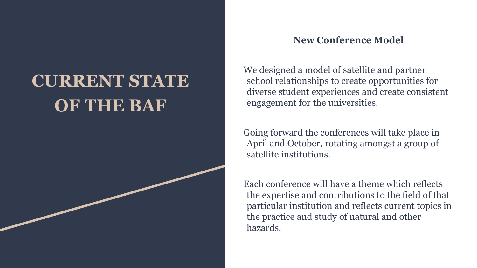## **CURRENT STATE OF THE BAF**

#### **New Conference Model**

We designed a model of satellite and partner school relationships to create opportunities for diverse student experiences and create consistent engagement for the universities.

Going forward the conferences will take place in April and October, rotating amongst a group of satellite institutions.

Each conference will have a theme which reflects the expertise and contributions to the field of that particular institution and reflects current topics in the practice and study of natural and other hazards.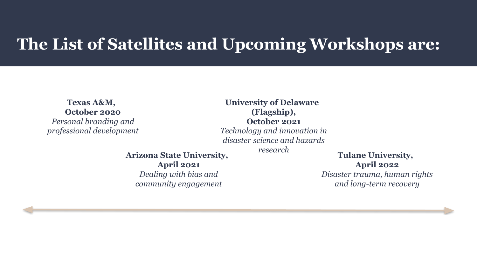#### **The List of Satellites and Upcoming Workshops are:**

**Texas A&M, October 2020** *Personal branding and professional development*

**University of Delaware (Flagship), October 2021** *Technology and innovation in disaster science and hazards* 

**Arizona State University, April 2021** *Dealing with bias and community engagement*

*research* **Tulane University, April 2022**

*Disaster trauma, human rights and long-term recovery*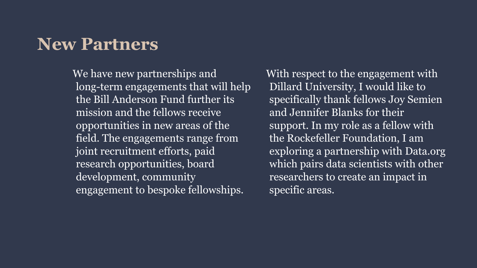#### **New Partners**

We have new partnerships and long-term engagements that will help the Bill Anderson Fund further its mission and the fellows receive opportunities in new areas of the field. The engagements range from joint recruitment efforts, paid research opportunities, board development, community engagement to bespoke fellowships.

With respect to the engagement with Dillard University, I would like to specifically thank fellows Joy Semien and Jennifer Blanks for their support. In my role as a fellow with the Rockefeller Foundation, I am exploring a partnership with Data.org which pairs data scientists with other researchers to create an impact in specific areas.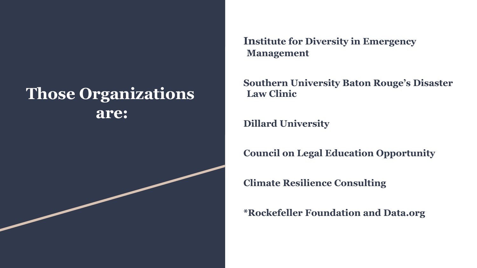### **Those Organizations are:**

**Institute for Diversity in Emergency Management**

**Southern University Baton Rouge's Disaster Law Clinic**

**Dillard University**

**Council on Legal Education Opportunity**

**Climate Resilience Consulting**

**\*Rockefeller Foundation and Data.org**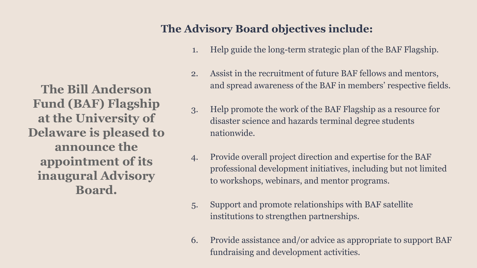**The Bill Anderson Fund (BAF) Flagship at the University of Delaware is pleased to announce the appointment of its inaugural Advisory Board.** 

#### **The Advisory Board objectives include:**

- 1. Help guide the long-term strategic plan of the BAF Flagship.
- 2. Assist in the recruitment of future BAF fellows and mentors, and spread awareness of the BAF in members' respective fields.
- 3. Help promote the work of the BAF Flagship as a resource for disaster science and hazards terminal degree students nationwide.
- 4. Provide overall project direction and expertise for the BAF professional development initiatives, including but not limited to workshops, webinars, and mentor programs.
- 5. Support and promote relationships with BAF satellite institutions to strengthen partnerships.
- 6. Provide assistance and/or advice as appropriate to support BAF fundraising and development activities.